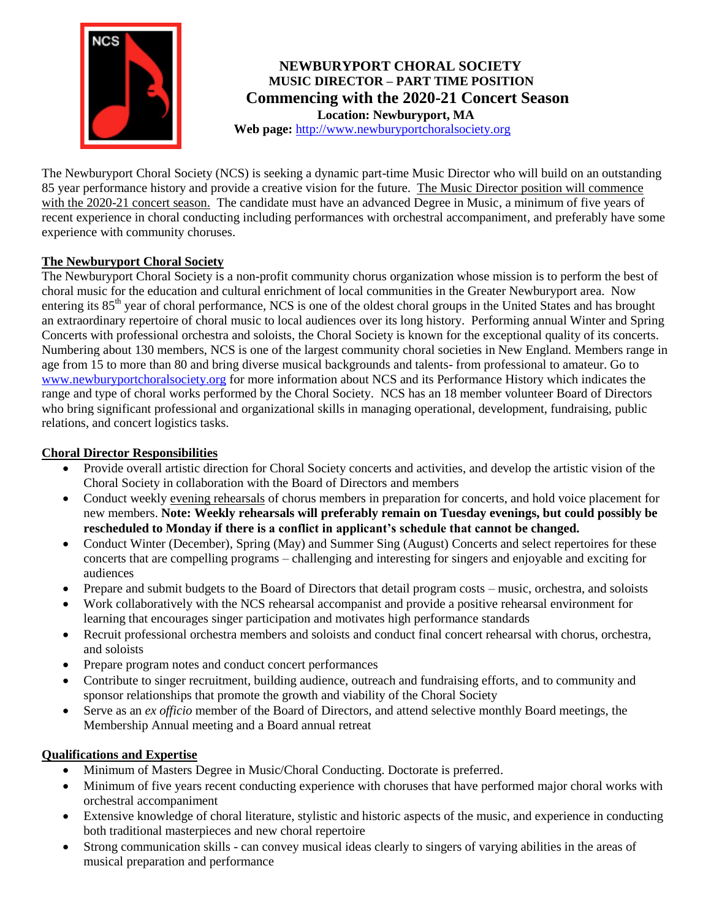

# **NEWBURYPORT CHORAL SOCIETY MUSIC DIRECTOR – PART TIME POSITION Commencing with the 2020-21 Concert Season Location: Newburyport, MA**

**Web page:** [http://www.newburyportchoralsociety.org](http://www.newburyportchoralsociety.org/)

The Newburyport Choral Society (NCS) is seeking a dynamic part-time Music Director who will build on an outstanding 85 year performance history and provide a creative vision for the future. The Music Director position will commence with the 2020-21 concert season. The candidate must have an advanced Degree in Music, a minimum of five years of recent experience in choral conducting including performances with orchestral accompaniment, and preferably have some experience with community choruses.

## **The Newburyport Choral Society**

The Newburyport Choral Society is a non-profit community chorus organization whose mission is to perform the best of choral music for the education and cultural enrichment of local communities in the Greater Newburyport area. Now entering its 85<sup>th</sup> year of choral performance, NCS is one of the oldest choral groups in the United States and has brought an extraordinary repertoire of choral music to local audiences over its long history. Performing annual Winter and Spring Concerts with professional orchestra and soloists, the Choral Society is known for the exceptional quality of its concerts. Numbering about 130 members, NCS is one of the largest community choral societies in New England. Members range in age from 15 to more than 80 and bring diverse musical backgrounds and talents- from professional to amateur. Go to [www.newburyportchoralsociety.org](http://www.newburyportchoralsociety.org/) for more information about NCS and its Performance History which indicates the range and type of choral works performed by the Choral Society. NCS has an 18 member volunteer Board of Directors who bring significant professional and organizational skills in managing operational, development, fundraising, public relations, and concert logistics tasks.

## **Choral Director Responsibilities**

- Provide overall artistic direction for Choral Society concerts and activities, and develop the artistic vision of the Choral Society in collaboration with the Board of Directors and members
- Conduct weekly evening rehearsals of chorus members in preparation for concerts, and hold voice placement for new members. **Note: Weekly rehearsals will preferably remain on Tuesday evenings, but could possibly be rescheduled to Monday if there is a conflict in applicant's schedule that cannot be changed.**
- Conduct Winter (December), Spring (May) and Summer Sing (August) Concerts and select repertoires for these concerts that are compelling programs – challenging and interesting for singers and enjoyable and exciting for audiences
- Prepare and submit budgets to the Board of Directors that detail program costs music, orchestra, and soloists
- Work collaboratively with the NCS rehearsal accompanist and provide a positive rehearsal environment for learning that encourages singer participation and motivates high performance standards
- Recruit professional orchestra members and soloists and conduct final concert rehearsal with chorus, orchestra, and soloists
- Prepare program notes and conduct concert performances
- Contribute to singer recruitment, building audience, outreach and fundraising efforts, and to community and sponsor relationships that promote the growth and viability of the Choral Society
- Serve as an *ex officio* member of the Board of Directors, and attend selective monthly Board meetings, the Membership Annual meeting and a Board annual retreat

### **Qualifications and Expertise**

- Minimum of Masters Degree in Music/Choral Conducting. Doctorate is preferred.
- Minimum of five years recent conducting experience with choruses that have performed major choral works with orchestral accompaniment
- Extensive knowledge of choral literature, stylistic and historic aspects of the music, and experience in conducting both traditional masterpieces and new choral repertoire
- Strong communication skills can convey musical ideas clearly to singers of varying abilities in the areas of musical preparation and performance